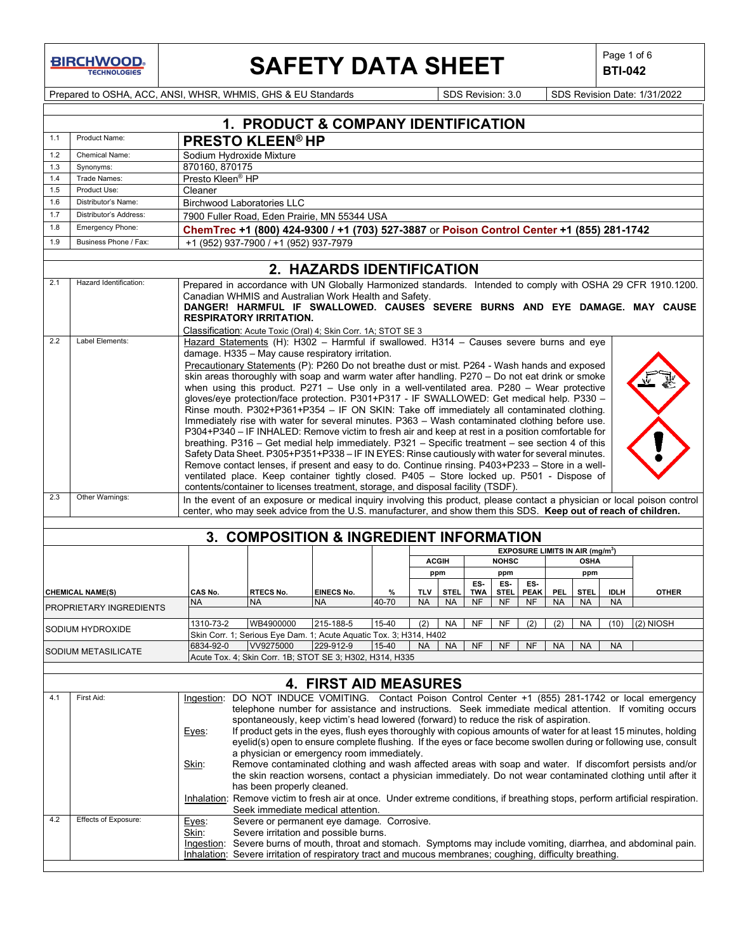**BIRCHWOOD** 

## **SAFETY DATA SHEET**  $\left|\begin{array}{c} \text{Page 1 of 6} \\ \text{BIT-042} \end{array}\right|$

**BTI-042**

Prepared to OSHA, ACC, ANSI, WHSR, WHMIS, GHS & EU Standards Superinted SDS Revision: 3.0 SDS Revision Date: 1/31/2022

|            | 1. PRODUCT & COMPANY IDENTIFICATION                                                      |                                                                                                                                                                                                                                                                                                                                                                                                                                                                                                                                                                                                                                                                                                                                                                                                                                                                                                                                                                                                                                                                                                                                                                                                                                                                                                                               |                           |           |            |              |            |              |             |            |                                                            |             |              |
|------------|------------------------------------------------------------------------------------------|-------------------------------------------------------------------------------------------------------------------------------------------------------------------------------------------------------------------------------------------------------------------------------------------------------------------------------------------------------------------------------------------------------------------------------------------------------------------------------------------------------------------------------------------------------------------------------------------------------------------------------------------------------------------------------------------------------------------------------------------------------------------------------------------------------------------------------------------------------------------------------------------------------------------------------------------------------------------------------------------------------------------------------------------------------------------------------------------------------------------------------------------------------------------------------------------------------------------------------------------------------------------------------------------------------------------------------|---------------------------|-----------|------------|--------------|------------|--------------|-------------|------------|------------------------------------------------------------|-------------|--------------|
| 1.1        | Product Name:                                                                            | <b>PRESTO KLEEN® HP</b>                                                                                                                                                                                                                                                                                                                                                                                                                                                                                                                                                                                                                                                                                                                                                                                                                                                                                                                                                                                                                                                                                                                                                                                                                                                                                                       |                           |           |            |              |            |              |             |            |                                                            |             |              |
| 1.2        | Chemical Name:                                                                           | Sodium Hydroxide Mixture                                                                                                                                                                                                                                                                                                                                                                                                                                                                                                                                                                                                                                                                                                                                                                                                                                                                                                                                                                                                                                                                                                                                                                                                                                                                                                      |                           |           |            |              |            |              |             |            |                                                            |             |              |
| 1.3        | Synonyms:                                                                                | 870160, 870175                                                                                                                                                                                                                                                                                                                                                                                                                                                                                                                                                                                                                                                                                                                                                                                                                                                                                                                                                                                                                                                                                                                                                                                                                                                                                                                |                           |           |            |              |            |              |             |            |                                                            |             |              |
| 1.4        | Trade Names:                                                                             | Presto Kleen <sup>®</sup> HP                                                                                                                                                                                                                                                                                                                                                                                                                                                                                                                                                                                                                                                                                                                                                                                                                                                                                                                                                                                                                                                                                                                                                                                                                                                                                                  |                           |           |            |              |            |              |             |            |                                                            |             |              |
| 1.5        | Product Use:                                                                             | Cleaner                                                                                                                                                                                                                                                                                                                                                                                                                                                                                                                                                                                                                                                                                                                                                                                                                                                                                                                                                                                                                                                                                                                                                                                                                                                                                                                       |                           |           |            |              |            |              |             |            |                                                            |             |              |
| 1.6        | Distributor's Name:                                                                      | <b>Birchwood Laboratories LLC</b>                                                                                                                                                                                                                                                                                                                                                                                                                                                                                                                                                                                                                                                                                                                                                                                                                                                                                                                                                                                                                                                                                                                                                                                                                                                                                             |                           |           |            |              |            |              |             |            |                                                            |             |              |
| 1.7        | Distributor's Address:                                                                   | 7900 Fuller Road, Eden Prairie, MN 55344 USA                                                                                                                                                                                                                                                                                                                                                                                                                                                                                                                                                                                                                                                                                                                                                                                                                                                                                                                                                                                                                                                                                                                                                                                                                                                                                  |                           |           |            |              |            |              |             |            |                                                            |             |              |
| 1.8        | Emergency Phone:                                                                         | ChemTrec +1 (800) 424-9300 / +1 (703) 527-3887 or Poison Control Center +1 (855) 281-1742                                                                                                                                                                                                                                                                                                                                                                                                                                                                                                                                                                                                                                                                                                                                                                                                                                                                                                                                                                                                                                                                                                                                                                                                                                     |                           |           |            |              |            |              |             |            |                                                            |             |              |
| 1.9        | Business Phone / Fax:                                                                    | +1 (952) 937-7900 / +1 (952) 937-7979                                                                                                                                                                                                                                                                                                                                                                                                                                                                                                                                                                                                                                                                                                                                                                                                                                                                                                                                                                                                                                                                                                                                                                                                                                                                                         |                           |           |            |              |            |              |             |            |                                                            |             |              |
|            |                                                                                          |                                                                                                                                                                                                                                                                                                                                                                                                                                                                                                                                                                                                                                                                                                                                                                                                                                                                                                                                                                                                                                                                                                                                                                                                                                                                                                                               | 2. HAZARDS IDENTIFICATION |           |            |              |            |              |             |            |                                                            |             |              |
| 2.1        | Hazard Identification:                                                                   |                                                                                                                                                                                                                                                                                                                                                                                                                                                                                                                                                                                                                                                                                                                                                                                                                                                                                                                                                                                                                                                                                                                                                                                                                                                                                                                               |                           |           |            |              |            |              |             |            |                                                            |             |              |
|            |                                                                                          | Prepared in accordance with UN Globally Harmonized standards. Intended to comply with OSHA 29 CFR 1910.1200.<br>Canadian WHMIS and Australian Work Health and Safety.<br>DANGER! HARMFUL IF SWALLOWED. CAUSES SEVERE BURNS AND EYE DAMAGE. MAY CAUSE<br><b>RESPIRATORY IRRITATION.</b>                                                                                                                                                                                                                                                                                                                                                                                                                                                                                                                                                                                                                                                                                                                                                                                                                                                                                                                                                                                                                                        |                           |           |            |              |            |              |             |            |                                                            |             |              |
| 2.2        | Label Elements:                                                                          | Classification: Acute Toxic (Oral) 4; Skin Corr. 1A; STOT SE 3<br>Hazard Statements (H): H302 - Harmful if swallowed. H314 - Causes severe burns and eye<br>damage. H335 - May cause respiratory irritation.<br>Precautionary Statements (P): P260 Do not breathe dust or mist. P264 - Wash hands and exposed<br>skin areas thoroughly with soap and warm water after handling. P270 - Do not eat drink or smoke<br>when using this product. $P271 -$ Use only in a well-ventilated area. $P280 -$ Wear protective<br>gloves/eye protection/face protection. P301+P317 - IF SWALLOWED: Get medical help. P330 -<br>Rinse mouth. P302+P361+P354 - IF ON SKIN: Take off immediately all contaminated clothing.<br>Immediately rise with water for several minutes. P363 - Wash contaminated clothing before use.<br>P304+P340 - IF INHALED: Remove victim to fresh air and keep at rest in a position comfortable for<br>breathing. P316 - Get medial help immediately. P321 - Specific treatment - see section 4 of this<br>Safety Data Sheet. P305+P351+P338 - IF IN EYES: Rinse cautiously with water for several minutes.<br>Remove contact lenses, if present and easy to do. Continue rinsing. P403+P233 - Store in a well-<br>ventilated place. Keep container tightly closed. P405 - Store locked up. P501 - Dispose of |                           |           |            |              |            |              |             |            |                                                            |             |              |
| 2.3        | Other Warnings:                                                                          | contents/container to licenses treatment, storage, and disposal facility (TSDF).<br>In the event of an exposure or medical inquiry involving this product, please contact a physician or local poison control<br>center, who may seek advice from the U.S. manufacturer, and show them this SDS. Keep out of reach of children.                                                                                                                                                                                                                                                                                                                                                                                                                                                                                                                                                                                                                                                                                                                                                                                                                                                                                                                                                                                               |                           |           |            |              |            |              |             |            |                                                            |             |              |
|            |                                                                                          |                                                                                                                                                                                                                                                                                                                                                                                                                                                                                                                                                                                                                                                                                                                                                                                                                                                                                                                                                                                                                                                                                                                                                                                                                                                                                                                               |                           |           |            |              |            |              |             |            |                                                            |             |              |
|            |                                                                                          | 3. COMPOSITION & INGREDIENT INFORMATION                                                                                                                                                                                                                                                                                                                                                                                                                                                                                                                                                                                                                                                                                                                                                                                                                                                                                                                                                                                                                                                                                                                                                                                                                                                                                       |                           |           |            |              |            |              |             |            |                                                            |             |              |
|            |                                                                                          |                                                                                                                                                                                                                                                                                                                                                                                                                                                                                                                                                                                                                                                                                                                                                                                                                                                                                                                                                                                                                                                                                                                                                                                                                                                                                                                               |                           |           |            | <b>ACGIH</b> |            | <b>NOHSC</b> |             |            | EXPOSURE LIMITS IN AIR (mg/m <sup>3</sup> )<br><b>OSHA</b> |             |              |
|            |                                                                                          |                                                                                                                                                                                                                                                                                                                                                                                                                                                                                                                                                                                                                                                                                                                                                                                                                                                                                                                                                                                                                                                                                                                                                                                                                                                                                                                               |                           |           |            | ppm          |            | ppm          |             |            | ppm                                                        |             |              |
|            |                                                                                          |                                                                                                                                                                                                                                                                                                                                                                                                                                                                                                                                                                                                                                                                                                                                                                                                                                                                                                                                                                                                                                                                                                                                                                                                                                                                                                                               |                           |           |            |              | ES.        | ES-          | ES-         |            |                                                            |             |              |
|            | <b>CHEMICAL NAME(S)</b>                                                                  | CAS No.<br><b>RTECS No.</b>                                                                                                                                                                                                                                                                                                                                                                                                                                                                                                                                                                                                                                                                                                                                                                                                                                                                                                                                                                                                                                                                                                                                                                                                                                                                                                   | <b>EINECS No.</b>         | %         | <b>TLV</b> | <b>STEL</b>  | <b>TWA</b> | <b>STEL</b>  | <b>PEAK</b> | <b>PEL</b> | <b>STEL</b>                                                | <b>IDLH</b> | <b>OTHER</b> |
|            | PROPRIETARY INGREDIENTS                                                                  | NA.<br>NA                                                                                                                                                                                                                                                                                                                                                                                                                                                                                                                                                                                                                                                                                                                                                                                                                                                                                                                                                                                                                                                                                                                                                                                                                                                                                                                     | <b>NA</b>                 | 40-70     | <b>NA</b>  | <b>NA</b>    | <b>NF</b>  | <b>NF</b>    | NF          | <b>NA</b>  | <b>NA</b>                                                  | <b>NA</b>   |              |
|            | SODIUM HYDROXIDE                                                                         | 1310-73-2<br>WB4900000                                                                                                                                                                                                                                                                                                                                                                                                                                                                                                                                                                                                                                                                                                                                                                                                                                                                                                                                                                                                                                                                                                                                                                                                                                                                                                        | 215-188-5                 | 15-40     | (2)        | <b>NA</b>    | <b>NF</b>  | <b>NF</b>    | (2)         | (2)        | <b>NA</b>                                                  | (10)        | $(2)$ NIOSH  |
|            |                                                                                          | Skin Corr. 1; Serious Eye Dam. 1; Acute Aquatic Tox. 3; H314, H402<br>6834-92-0<br>VV9275000                                                                                                                                                                                                                                                                                                                                                                                                                                                                                                                                                                                                                                                                                                                                                                                                                                                                                                                                                                                                                                                                                                                                                                                                                                  | 229-912-9                 | $15 - 40$ | <b>NA</b>  | <b>NA</b>    | <b>NF</b>  | <b>NF</b>    | <b>NF</b>   | <b>NA</b>  | <b>NA</b>                                                  | <b>NA</b>   |              |
|            | SODIUM METASILICATE                                                                      |                                                                                                                                                                                                                                                                                                                                                                                                                                                                                                                                                                                                                                                                                                                                                                                                                                                                                                                                                                                                                                                                                                                                                                                                                                                                                                                               |                           |           |            |              |            |              |             |            |                                                            |             |              |
|            | Acute Tox. 4; Skin Corr. 1B; STOT SE 3; H302, H314, H335<br><b>4. FIRST AID MEASURES</b> |                                                                                                                                                                                                                                                                                                                                                                                                                                                                                                                                                                                                                                                                                                                                                                                                                                                                                                                                                                                                                                                                                                                                                                                                                                                                                                                               |                           |           |            |              |            |              |             |            |                                                            |             |              |
| 4.1<br>4.2 | First Aid:<br>Effects of Exposure:                                                       | Ingestion: DO NOT INDUCE VOMITING. Contact Poison Control Center +1 (855) 281-1742 or local emergency<br>telephone number for assistance and instructions. Seek immediate medical attention. If vomiting occurs<br>spontaneously, keep victim's head lowered (forward) to reduce the risk of aspiration.<br>If product gets in the eyes, flush eyes thoroughly with copious amounts of water for at least 15 minutes, holding<br>Eyes:<br>eyelid(s) open to ensure complete flushing. If the eyes or face become swollen during or following use, consult<br>a physician or emergency room immediately.<br>Remove contaminated clothing and wash affected areas with soap and water. If discomfort persists and/or<br>Skin:<br>the skin reaction worsens, contact a physician immediately. Do not wear contaminated clothing until after it<br>has been properly cleaned.<br>Inhalation: Remove victim to fresh air at once. Under extreme conditions, if breathing stops, perform artificial respiration.<br>Seek immediate medical attention.                                                                                                                                                                                                                                                                               |                           |           |            |              |            |              |             |            |                                                            |             |              |
|            |                                                                                          | Severe or permanent eye damage. Corrosive.<br>Eyes:<br>Skin:<br>Severe irritation and possible burns.<br>Ingestion: Severe burns of mouth, throat and stomach. Symptoms may include vomiting, diarrhea, and abdominal pain.<br>Inhalation: Severe irritation of respiratory tract and mucous membranes; coughing, difficulty breathing.                                                                                                                                                                                                                                                                                                                                                                                                                                                                                                                                                                                                                                                                                                                                                                                                                                                                                                                                                                                       |                           |           |            |              |            |              |             |            |                                                            |             |              |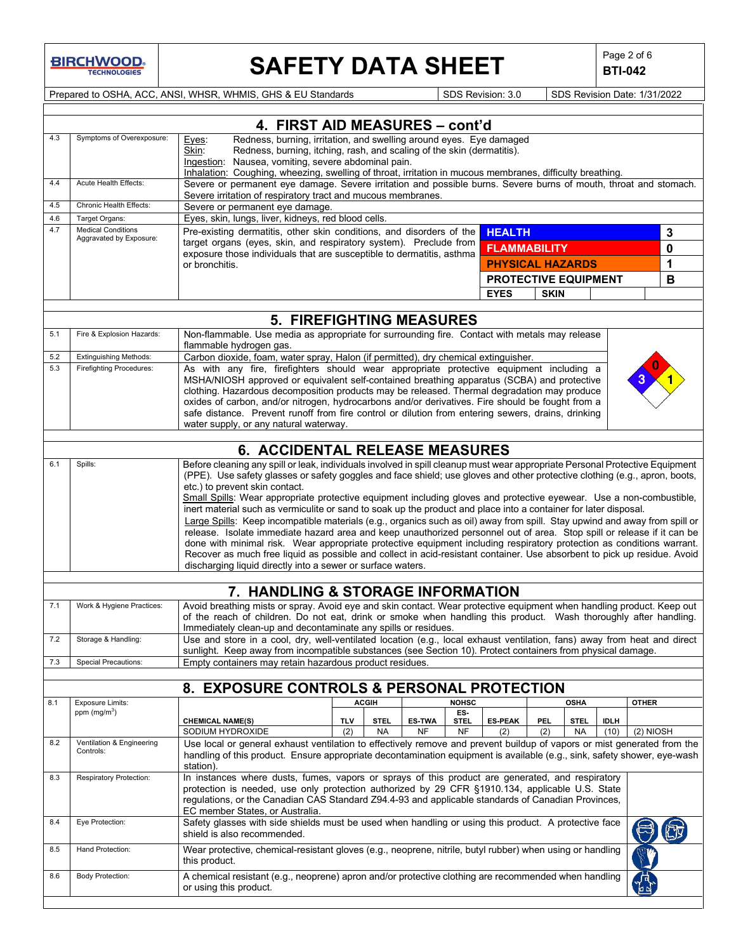**BIRCHWOOD** 

# **SAFETY DATA SHEET**  $\left|\begin{array}{c} \text{Page 2 of 6} \\ \text{BTI-042} \end{array}\right|$

**BTI-042**

Prepared to OSHA, ACC, ANSI, WHSR, WHMIS, GHS & EU Standards Superinted SDS Revision: 3.0 SDS Revision Date: 1/31/2022

|            |                                             | 4. FIRST AID MEASURES - cont'd                                                                                                                                                                                                          |            |              |               |                    |                         |             |             |             |              |   |
|------------|---------------------------------------------|-----------------------------------------------------------------------------------------------------------------------------------------------------------------------------------------------------------------------------------------|------------|--------------|---------------|--------------------|-------------------------|-------------|-------------|-------------|--------------|---|
| 4.3        | Symptoms of Overexposure:                   | Redness, burning, irritation, and swelling around eyes. Eye damaged<br>Eyes:<br>Redness, burning, itching, rash, and scaling of the skin (dermatitis).<br>Skin:                                                                         |            |              |               |                    |                         |             |             |             |              |   |
|            |                                             | Ingestion: Nausea, vomiting, severe abdominal pain.                                                                                                                                                                                     |            |              |               |                    |                         |             |             |             |              |   |
|            |                                             | Inhalation: Coughing, wheezing, swelling of throat, irritation in mucous membranes, difficulty breathing.                                                                                                                               |            |              |               |                    |                         |             |             |             |              |   |
| 4.4        | Acute Health Effects:                       | Severe or permanent eye damage. Severe irritation and possible burns. Severe burns of mouth, throat and stomach.                                                                                                                        |            |              |               |                    |                         |             |             |             |              |   |
|            |                                             | Severe irritation of respiratory tract and mucous membranes.                                                                                                                                                                            |            |              |               |                    |                         |             |             |             |              |   |
| 4.5        | Chronic Health Effects:                     | Severe or permanent eye damage.                                                                                                                                                                                                         |            |              |               |                    |                         |             |             |             |              |   |
| 4.6<br>4.7 | Target Organs:<br><b>Medical Conditions</b> | Eyes, skin, lungs, liver, kidneys, red blood cells.<br>Pre-existing dermatitis, other skin conditions, and disorders of the                                                                                                             |            |              |               |                    |                         |             |             |             |              |   |
|            | Aggravated by Exposure:                     | target organs (eyes, skin, and respiratory system). Preclude from                                                                                                                                                                       |            |              |               |                    | <b>HEALTH</b>           |             |             |             |              | 3 |
|            |                                             | exposure those individuals that are susceptible to dermatitis, asthma                                                                                                                                                                   |            |              |               |                    | <b>FLAMMABILITY</b>     |             |             |             |              | 0 |
|            |                                             | or bronchitis.                                                                                                                                                                                                                          |            |              |               |                    | <b>PHYSICAL HAZARDS</b> |             |             |             |              | 1 |
|            |                                             |                                                                                                                                                                                                                                         |            |              |               |                    | PROTECTIVE EQUIPMENT    |             |             |             |              | B |
|            |                                             |                                                                                                                                                                                                                                         |            |              |               |                    | <b>EYES</b>             | <b>SKIN</b> |             |             |              |   |
|            |                                             |                                                                                                                                                                                                                                         |            |              |               |                    |                         |             |             |             |              |   |
|            |                                             | <b>5. FIREFIGHTING MEASURES</b>                                                                                                                                                                                                         |            |              |               |                    |                         |             |             |             |              |   |
| 5.1        | Fire & Explosion Hazards:                   | Non-flammable. Use media as appropriate for surrounding fire. Contact with metals may release                                                                                                                                           |            |              |               |                    |                         |             |             |             |              |   |
|            |                                             | flammable hydrogen gas.                                                                                                                                                                                                                 |            |              |               |                    |                         |             |             |             |              |   |
| 5.2        | <b>Extinguishing Methods:</b>               | Carbon dioxide, foam, water spray, Halon (if permitted), dry chemical extinguisher.                                                                                                                                                     |            |              |               |                    |                         |             |             |             |              |   |
| 5.3        | <b>Firefighting Procedures:</b>             | As with any fire, firefighters should wear appropriate protective equipment including a                                                                                                                                                 |            |              |               |                    |                         |             |             |             |              |   |
|            |                                             | MSHA/NIOSH approved or equivalent self-contained breathing apparatus (SCBA) and protective                                                                                                                                              |            |              |               |                    |                         |             |             |             |              |   |
|            |                                             | clothing. Hazardous decomposition products may be released. Thermal degradation may produce<br>oxides of carbon, and/or nitrogen, hydrocarbons and/or derivatives. Fire should be fought from a                                         |            |              |               |                    |                         |             |             |             |              |   |
|            |                                             | safe distance. Prevent runoff from fire control or dilution from entering sewers, drains, drinking                                                                                                                                      |            |              |               |                    |                         |             |             |             |              |   |
|            |                                             | water supply, or any natural waterway.                                                                                                                                                                                                  |            |              |               |                    |                         |             |             |             |              |   |
|            |                                             |                                                                                                                                                                                                                                         |            |              |               |                    |                         |             |             |             |              |   |
|            |                                             | <b>6. ACCIDENTAL RELEASE MEASURES</b>                                                                                                                                                                                                   |            |              |               |                    |                         |             |             |             |              |   |
| 6.1        | Spills:                                     | Before cleaning any spill or leak, individuals involved in spill cleanup must wear appropriate Personal Protective Equipment                                                                                                            |            |              |               |                    |                         |             |             |             |              |   |
|            |                                             | (PPE). Use safety glasses or safety goggles and face shield; use gloves and other protective clothing (e.g., apron, boots,<br>etc.) to prevent skin contact.                                                                            |            |              |               |                    |                         |             |             |             |              |   |
|            |                                             | Small Spills: Wear appropriate protective equipment including gloves and protective eyewear. Use a non-combustible,                                                                                                                     |            |              |               |                    |                         |             |             |             |              |   |
|            |                                             | inert material such as vermiculite or sand to soak up the product and place into a container for later disposal.                                                                                                                        |            |              |               |                    |                         |             |             |             |              |   |
|            |                                             | Large Spills: Keep incompatible materials (e.g., organics such as oil) away from spill. Stay upwind and away from spill or                                                                                                              |            |              |               |                    |                         |             |             |             |              |   |
|            |                                             | release. Isolate immediate hazard area and keep unauthorized personnel out of area. Stop spill or release if it can be                                                                                                                  |            |              |               |                    |                         |             |             |             |              |   |
|            |                                             | done with minimal risk. Wear appropriate protective equipment including respiratory protection as conditions warrant.                                                                                                                   |            |              |               |                    |                         |             |             |             |              |   |
|            |                                             | Recover as much free liquid as possible and collect in acid-resistant container. Use absorbent to pick up residue. Avoid<br>discharging liquid directly into a sewer or surface waters.                                                 |            |              |               |                    |                         |             |             |             |              |   |
|            |                                             |                                                                                                                                                                                                                                         |            |              |               |                    |                         |             |             |             |              |   |
|            |                                             | 7. HANDLING & STORAGE INFORMATION                                                                                                                                                                                                       |            |              |               |                    |                         |             |             |             |              |   |
| 7.1        | Work & Hygiene Practices:                   | Avoid breathing mists or spray. Avoid eye and skin contact. Wear protective equipment when handling product. Keep out                                                                                                                   |            |              |               |                    |                         |             |             |             |              |   |
|            |                                             | of the reach of children. Do not eat, drink or smoke when handling this product. Wash thoroughly after handling.                                                                                                                        |            |              |               |                    |                         |             |             |             |              |   |
|            |                                             | Immediately clean-up and decontaminate any spills or residues.                                                                                                                                                                          |            |              |               |                    |                         |             |             |             |              |   |
| 7.2        | Storage & Handling:                         | Use and store in a cool, dry, well-ventilated location (e.g., local exhaust ventilation, fans) away from heat and direct<br>sunlight. Keep away from incompatible substances (see Section 10). Protect containers from physical damage. |            |              |               |                    |                         |             |             |             |              |   |
| 7.3        | <b>Special Precautions:</b>                 | Empty containers may retain hazardous product residues.                                                                                                                                                                                 |            |              |               |                    |                         |             |             |             |              |   |
|            |                                             |                                                                                                                                                                                                                                         |            |              |               |                    |                         |             |             |             |              |   |
|            |                                             | <b>8. EXPOSURE CONTROLS &amp; PERSONAL PROTECTION</b>                                                                                                                                                                                   |            |              |               |                    |                         |             |             |             |              |   |
| 8.1        | Exposure Limits:                            |                                                                                                                                                                                                                                         |            | <b>ACGIH</b> |               | <b>NOHSC</b>       |                         |             | <b>OSHA</b> |             | <b>OTHER</b> |   |
|            | ppm $(mg/m3)$                               | <b>CHEMICAL NAME(S)</b>                                                                                                                                                                                                                 | <b>TLV</b> | <b>STEL</b>  | <b>ES-TWA</b> | ES-<br><b>STEL</b> | <b>ES-PEAK</b>          | <b>PEL</b>  | <b>STEL</b> | <b>IDLH</b> |              |   |
|            |                                             | SODIUM HYDROXIDE                                                                                                                                                                                                                        | (2)        | <b>NA</b>    | <b>NF</b>     | <b>NF</b>          | (2)                     | (2)         | <b>NA</b>   | (10)        | $(2)$ NIOSH  |   |
| 8.2        | Ventilation & Engineering                   | Use local or general exhaust ventilation to effectively remove and prevent buildup of vapors or mist generated from the                                                                                                                 |            |              |               |                    |                         |             |             |             |              |   |
|            | Controls:                                   | handling of this product. Ensure appropriate decontamination equipment is available (e.g., sink, safety shower, eye-wash                                                                                                                |            |              |               |                    |                         |             |             |             |              |   |
|            |                                             | station).                                                                                                                                                                                                                               |            |              |               |                    |                         |             |             |             |              |   |
| 8.3        | Respiratory Protection:                     | In instances where dusts, fumes, vapors or sprays of this product are generated, and respiratory<br>protection is needed, use only protection authorized by 29 CFR §1910.134, applicable U.S. State                                     |            |              |               |                    |                         |             |             |             |              |   |
|            |                                             | regulations, or the Canadian CAS Standard Z94.4-93 and applicable standards of Canadian Provinces,                                                                                                                                      |            |              |               |                    |                         |             |             |             |              |   |
|            |                                             | EC member States, or Australia.                                                                                                                                                                                                         |            |              |               |                    |                         |             |             |             |              |   |
| 8.4        | Eye Protection:                             | Safety glasses with side shields must be used when handling or using this product. A protective face<br>shield is also recommended.                                                                                                     |            |              |               |                    |                         |             |             |             |              |   |
| 8.5        | Hand Protection:                            | Wear protective, chemical-resistant gloves (e.g., neoprene, nitrile, butyl rubber) when using or handling<br>this product.                                                                                                              |            |              |               |                    |                         |             |             |             |              |   |
| 8.6        | Body Protection:                            | A chemical resistant (e.g., neoprene) apron and/or protective clothing are recommended when handling<br>or using this product.                                                                                                          |            |              |               |                    |                         |             |             |             |              |   |
|            |                                             |                                                                                                                                                                                                                                         |            |              |               |                    |                         |             |             |             |              |   |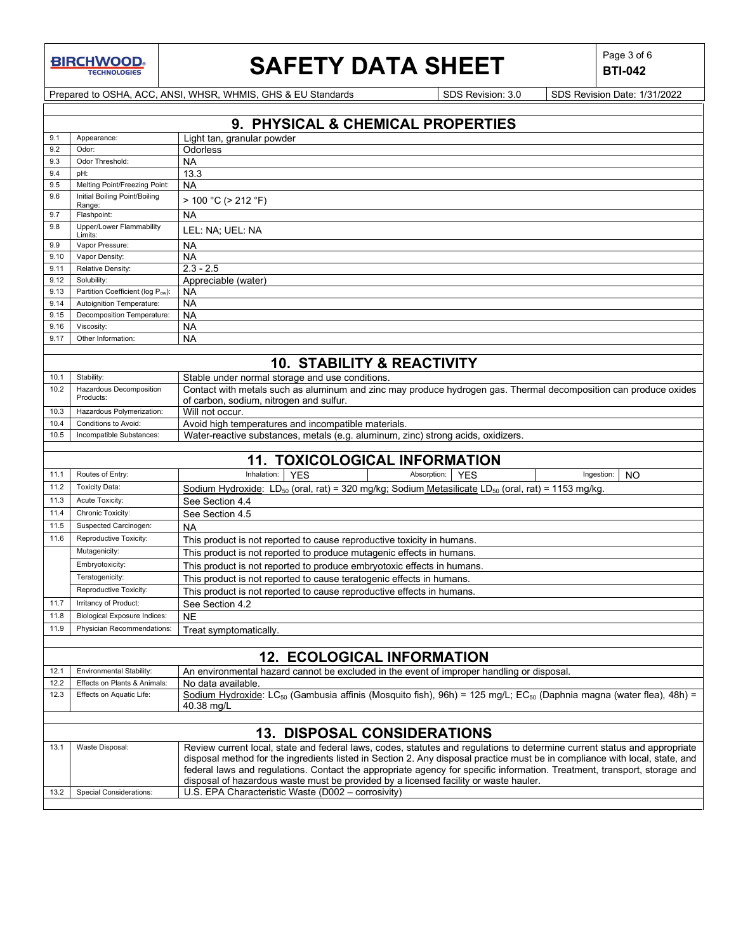**BIRCHWOOD** 

# **SAFETY DATA SHEET**  $\left|\begin{array}{c} \mathsf{Page 3 of 6} \\ \mathsf{BTL042} \end{array}\right|$

**BTI-042**

Prepared to OSHA, ACC, ANSI, WHSR, WHMIS, GHS & EU Standards Superinted Superinted SDS Revision: 3.0 SDS Revision Date: 1/31/2022

|      | 9. PHYSICAL & CHEMICAL PROPERTIES                 |                                                                                                                                                                                                                                                                                                                                                                                                                                                                                                                                    |  |  |  |
|------|---------------------------------------------------|------------------------------------------------------------------------------------------------------------------------------------------------------------------------------------------------------------------------------------------------------------------------------------------------------------------------------------------------------------------------------------------------------------------------------------------------------------------------------------------------------------------------------------|--|--|--|
| 9.1  | Appearance:                                       | Light tan, granular powder                                                                                                                                                                                                                                                                                                                                                                                                                                                                                                         |  |  |  |
| 9.2  | Odor:                                             | Odorless                                                                                                                                                                                                                                                                                                                                                                                                                                                                                                                           |  |  |  |
| 9.3  | Odor Threshold:                                   | <b>NA</b>                                                                                                                                                                                                                                                                                                                                                                                                                                                                                                                          |  |  |  |
| 9.4  | pH:                                               | 13.3                                                                                                                                                                                                                                                                                                                                                                                                                                                                                                                               |  |  |  |
| 9.5  | Melting Point/Freezing Point:                     | <b>NA</b>                                                                                                                                                                                                                                                                                                                                                                                                                                                                                                                          |  |  |  |
| 9.6  | Initial Boiling Point/Boiling<br>Range:           | > 100 °C (> 212 °F)                                                                                                                                                                                                                                                                                                                                                                                                                                                                                                                |  |  |  |
| 9.7  | Flashpoint:                                       | <b>NA</b>                                                                                                                                                                                                                                                                                                                                                                                                                                                                                                                          |  |  |  |
| 9.8  | Upper/Lower Flammability<br>Limits:               | LEL: NA; UEL: NA                                                                                                                                                                                                                                                                                                                                                                                                                                                                                                                   |  |  |  |
| 9.9  | Vapor Pressure:                                   | <b>NA</b>                                                                                                                                                                                                                                                                                                                                                                                                                                                                                                                          |  |  |  |
| 9.10 | Vapor Density:                                    | <b>NA</b>                                                                                                                                                                                                                                                                                                                                                                                                                                                                                                                          |  |  |  |
| 9.11 | Relative Density:                                 | $2.3 - 2.5$                                                                                                                                                                                                                                                                                                                                                                                                                                                                                                                        |  |  |  |
| 9.12 | Solubility:                                       | Appreciable (water)                                                                                                                                                                                                                                                                                                                                                                                                                                                                                                                |  |  |  |
| 9.13 | Partition Coefficient (log Pow):                  | <b>NA</b>                                                                                                                                                                                                                                                                                                                                                                                                                                                                                                                          |  |  |  |
| 9.14 | Autoignition Temperature:                         | <b>NA</b>                                                                                                                                                                                                                                                                                                                                                                                                                                                                                                                          |  |  |  |
| 9.15 | Decomposition Temperature:                        | <b>NA</b>                                                                                                                                                                                                                                                                                                                                                                                                                                                                                                                          |  |  |  |
| 9.16 | Viscosity:                                        | <b>NA</b>                                                                                                                                                                                                                                                                                                                                                                                                                                                                                                                          |  |  |  |
| 9.17 | Other Information:                                | <b>NA</b>                                                                                                                                                                                                                                                                                                                                                                                                                                                                                                                          |  |  |  |
|      |                                                   |                                                                                                                                                                                                                                                                                                                                                                                                                                                                                                                                    |  |  |  |
|      |                                                   | <b>10. STABILITY &amp; REACTIVITY</b>                                                                                                                                                                                                                                                                                                                                                                                                                                                                                              |  |  |  |
| 10.1 | Stability:                                        | Stable under normal storage and use conditions.                                                                                                                                                                                                                                                                                                                                                                                                                                                                                    |  |  |  |
| 10.2 | Hazardous Decomposition<br>Products:              | Contact with metals such as aluminum and zinc may produce hydrogen gas. Thermal decomposition can produce oxides<br>of carbon, sodium, nitrogen and sulfur.                                                                                                                                                                                                                                                                                                                                                                        |  |  |  |
| 10.3 | Hazardous Polymerization:                         | Will not occur.                                                                                                                                                                                                                                                                                                                                                                                                                                                                                                                    |  |  |  |
| 10.4 | Conditions to Avoid:                              | Avoid high temperatures and incompatible materials.                                                                                                                                                                                                                                                                                                                                                                                                                                                                                |  |  |  |
| 10.5 | Incompatible Substances:                          | Water-reactive substances, metals (e.g. aluminum, zinc) strong acids, oxidizers.                                                                                                                                                                                                                                                                                                                                                                                                                                                   |  |  |  |
|      |                                                   |                                                                                                                                                                                                                                                                                                                                                                                                                                                                                                                                    |  |  |  |
|      |                                                   | <b>11. TOXICOLOGICAL INFORMATION</b>                                                                                                                                                                                                                                                                                                                                                                                                                                                                                               |  |  |  |
| 11.1 | Routes of Entry:                                  | Inhalation:<br>Absorption:<br><b>YES</b><br>Ingestion:<br><b>YES</b><br><b>NO</b>                                                                                                                                                                                                                                                                                                                                                                                                                                                  |  |  |  |
| 11.2 | <b>Toxicity Data:</b>                             | Sodium Hydroxide: LD <sub>50</sub> (oral, rat) = 320 mg/kg; Sodium Metasilicate LD <sub>50</sub> (oral, rat) = 1153 mg/kg.                                                                                                                                                                                                                                                                                                                                                                                                         |  |  |  |
| 11.3 | Acute Toxicity:                                   | See Section 4.4                                                                                                                                                                                                                                                                                                                                                                                                                                                                                                                    |  |  |  |
| 11.4 | Chronic Toxicity:                                 | See Section 4.5                                                                                                                                                                                                                                                                                                                                                                                                                                                                                                                    |  |  |  |
| 11.5 | Suspected Carcinogen:                             | <b>NA</b>                                                                                                                                                                                                                                                                                                                                                                                                                                                                                                                          |  |  |  |
| 11.6 | Reproductive Toxicity:                            | This product is not reported to cause reproductive toxicity in humans.                                                                                                                                                                                                                                                                                                                                                                                                                                                             |  |  |  |
|      | Mutagenicity:                                     | This product is not reported to produce mutagenic effects in humans.                                                                                                                                                                                                                                                                                                                                                                                                                                                               |  |  |  |
|      | Embryotoxicity:                                   | This product is not reported to produce embryotoxic effects in humans.                                                                                                                                                                                                                                                                                                                                                                                                                                                             |  |  |  |
|      | Teratogenicity:                                   | This product is not reported to cause teratogenic effects in humans.                                                                                                                                                                                                                                                                                                                                                                                                                                                               |  |  |  |
|      | Reproductive Toxicity:                            | This product is not reported to cause reproductive effects in humans.                                                                                                                                                                                                                                                                                                                                                                                                                                                              |  |  |  |
| 11.7 | Irritancy of Product:                             | See Section 4.2                                                                                                                                                                                                                                                                                                                                                                                                                                                                                                                    |  |  |  |
| 11.8 | <b>Biological Exposure Indices:</b>               | <b>NE</b>                                                                                                                                                                                                                                                                                                                                                                                                                                                                                                                          |  |  |  |
| 11.9 | Physician Recommendations:                        | Treat symptomatically.                                                                                                                                                                                                                                                                                                                                                                                                                                                                                                             |  |  |  |
|      |                                                   |                                                                                                                                                                                                                                                                                                                                                                                                                                                                                                                                    |  |  |  |
|      | <b>12. ECOLOGICAL INFORMATION</b>                 |                                                                                                                                                                                                                                                                                                                                                                                                                                                                                                                                    |  |  |  |
| 12.1 | Environmental Stability:                          | An environmental hazard cannot be excluded in the event of improper handling or disposal.                                                                                                                                                                                                                                                                                                                                                                                                                                          |  |  |  |
| 12.2 | Effects on Plants & Animals:                      | No data available.                                                                                                                                                                                                                                                                                                                                                                                                                                                                                                                 |  |  |  |
| 12.3 | Effects on Aquatic Life:                          | Sodium Hydroxide: LC <sub>50</sub> (Gambusia affinis (Mosquito fish), 96h) = 125 mg/L; EC <sub>50</sub> (Daphnia magna (water flea), 48h) =<br>40.38 mg/L                                                                                                                                                                                                                                                                                                                                                                          |  |  |  |
|      |                                                   |                                                                                                                                                                                                                                                                                                                                                                                                                                                                                                                                    |  |  |  |
|      |                                                   | <b>13. DISPOSAL CONSIDERATIONS</b>                                                                                                                                                                                                                                                                                                                                                                                                                                                                                                 |  |  |  |
| 13.1 | Waste Disposal:<br><b>Special Considerations:</b> | Review current local, state and federal laws, codes, statutes and regulations to determine current status and appropriate<br>disposal method for the ingredients listed in Section 2. Any disposal practice must be in compliance with local, state, and<br>federal laws and regulations. Contact the appropriate agency for specific information. Treatment, transport, storage and<br>disposal of hazardous waste must be provided by a licensed facility or waste hauler.<br>U.S. EPA Characteristic Waste (D002 - corrosivity) |  |  |  |
| 13.2 |                                                   |                                                                                                                                                                                                                                                                                                                                                                                                                                                                                                                                    |  |  |  |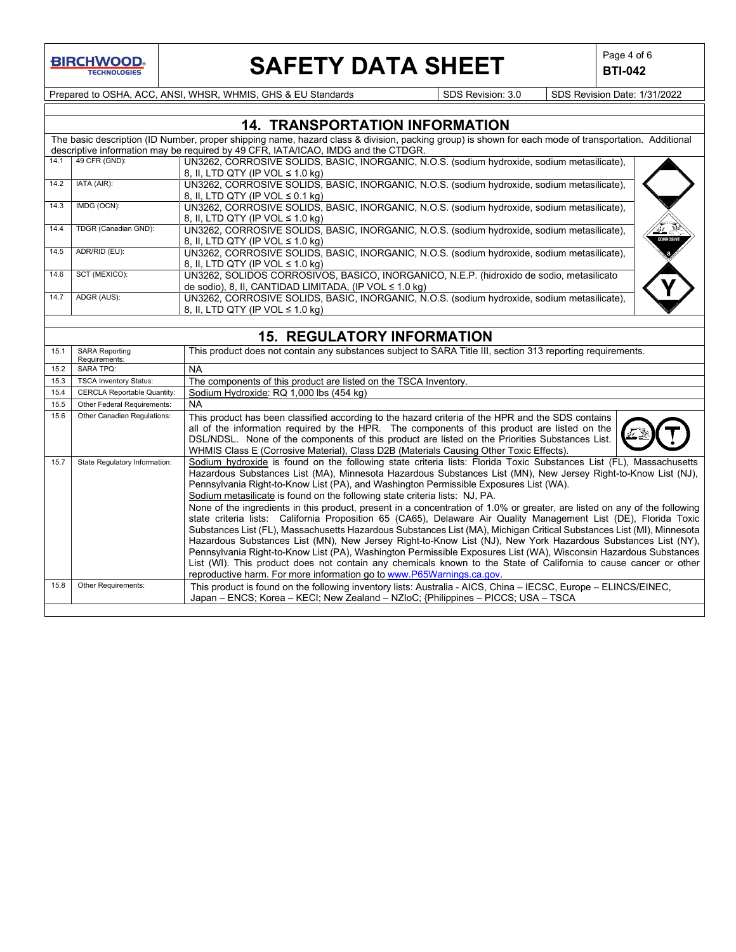

# **SAFETY DATA SHEET**  $\left|\begin{array}{c} \text{Page 4 of 6} \\ \text{BTI-042} \end{array}\right|$

**BTI-042**

Prepared to OSHA, ACC, ANSI, WHSR, WHMIS, GHS & EU Standards Superinted SDS Revision: 3.0 SDS Revision Date: 1/31/2022

|      | <b>14. TRANSPORTATION INFORMATION</b> |                                                                                                                                                      |           |  |  |
|------|---------------------------------------|------------------------------------------------------------------------------------------------------------------------------------------------------|-----------|--|--|
|      |                                       | The basic description (ID Number, proper shipping name, hazard class & division, packing group) is shown for each mode of transportation. Additional |           |  |  |
|      |                                       | descriptive information may be required by 49 CFR, IATA/ICAO, IMDG and the CTDGR.                                                                    |           |  |  |
| 14.1 | 49 CFR (GND):                         | UN3262, CORROSIVE SOLIDS, BASIC, INORGANIC, N.O.S. (sodium hydroxide, sodium metasilicate),                                                          |           |  |  |
|      |                                       | 8. II. LTD QTY (IP VOL $\leq 1.0$ kg)                                                                                                                |           |  |  |
| 14.2 | IATA (AIR):                           | UN3262, CORROSIVE SOLIDS, BASIC, INORGANIC, N.O.S. (sodium hydroxide, sodium metasilicate),                                                          |           |  |  |
|      |                                       | 8, II, LTD QTY (IP VOL $\leq$ 0.1 kg)                                                                                                                |           |  |  |
| 14.3 | IMDG (OCN):                           | UN3262, CORROSIVE SOLIDS, BASIC, INORGANIC, N.O.S. (sodium hydroxide, sodium metasilicate),                                                          |           |  |  |
|      |                                       | 8. II. LTD QTY (IP VOL $\leq 1.0$ kg)                                                                                                                |           |  |  |
| 14.4 | TDGR (Canadian GND):                  | UN3262, CORROSIVE SOLIDS, BASIC, INORGANIC, N.O.S. (sodium hydroxide, sodium metasilicate),                                                          |           |  |  |
|      |                                       | 8. II. LTD QTY (IP VOL $\leq 1.0$ kg)                                                                                                                | CORROSIVE |  |  |
| 14.5 | ADR/RID (EU):                         | UN3262, CORROSIVE SOLIDS, BASIC, INORGANIC, N.O.S. (sodium hydroxide, sodium metasilicate),                                                          |           |  |  |
|      |                                       | 8. II. LTD QTY (IP VOL $\leq 1.0$ kg)                                                                                                                |           |  |  |
| 14.6 | SCT (MEXICO):                         | UN3262, SOLIDOS CORROSIVOS, BASICO, INORGANICO, N.E.P. (hidroxido de sodio, metasilicato                                                             |           |  |  |
|      |                                       | de sodio), 8, II, CANTIDAD LIMITADA, (IP VOL $\leq 1.0$ kg)                                                                                          |           |  |  |
| 14.7 | ADGR (AUS):                           | UN3262, CORROSIVE SOLIDS, BASIC, INORGANIC, N.O.S. (sodium hydroxide, sodium metasilicate),                                                          |           |  |  |
|      |                                       | 8. II. LTD QTY (IP VOL $\leq 1.0$ kg)                                                                                                                |           |  |  |

## **15. REGULATORY INFORMATION**

| 15.1 | <b>SARA Reporting</b><br>Requirements: | This product does not contain any substances subject to SARA Title III, section 313 reporting requirements.                                                                                                                                                                                                                                                                                                                                                                                                                                                                                                                                                                                                                                                                                                                                                                                                                                                                                                                                                                                                                                                                                                             |
|------|----------------------------------------|-------------------------------------------------------------------------------------------------------------------------------------------------------------------------------------------------------------------------------------------------------------------------------------------------------------------------------------------------------------------------------------------------------------------------------------------------------------------------------------------------------------------------------------------------------------------------------------------------------------------------------------------------------------------------------------------------------------------------------------------------------------------------------------------------------------------------------------------------------------------------------------------------------------------------------------------------------------------------------------------------------------------------------------------------------------------------------------------------------------------------------------------------------------------------------------------------------------------------|
| 15.2 | <b>SARA TPQ:</b>                       | <b>NA</b>                                                                                                                                                                                                                                                                                                                                                                                                                                                                                                                                                                                                                                                                                                                                                                                                                                                                                                                                                                                                                                                                                                                                                                                                               |
| 15.3 | <b>TSCA Inventory Status:</b>          | The components of this product are listed on the TSCA Inventory.                                                                                                                                                                                                                                                                                                                                                                                                                                                                                                                                                                                                                                                                                                                                                                                                                                                                                                                                                                                                                                                                                                                                                        |
| 15.4 | <b>CERCLA Reportable Quantity:</b>     | Sodium Hydroxide: RQ 1,000 lbs (454 kg)                                                                                                                                                                                                                                                                                                                                                                                                                                                                                                                                                                                                                                                                                                                                                                                                                                                                                                                                                                                                                                                                                                                                                                                 |
| 15.5 | Other Federal Requirements:            | NA.                                                                                                                                                                                                                                                                                                                                                                                                                                                                                                                                                                                                                                                                                                                                                                                                                                                                                                                                                                                                                                                                                                                                                                                                                     |
| 15.6 | Other Canadian Regulations:            | This product has been classified according to the hazard criteria of the HPR and the SDS contains<br>all of the information required by the HPR. The components of this product are listed on the<br>DSL/NDSL. None of the components of this product are listed on the Priorities Substances List.<br>WHMIS Class E (Corrosive Material), Class D2B (Materials Causing Other Toxic Effects).                                                                                                                                                                                                                                                                                                                                                                                                                                                                                                                                                                                                                                                                                                                                                                                                                           |
| 15.7 | State Regulatory Information:          | Sodium hydroxide is found on the following state criteria lists: Florida Toxic Substances List (FL), Massachusetts<br>Hazardous Substances List (MA), Minnesota Hazardous Substances List (MN), New Jersey Right-to-Know List (NJ),<br>Pennsylvania Right-to-Know List (PA), and Washington Permissible Exposures List (WA).<br>Sodium metasilicate is found on the following state criteria lists: NJ, PA.<br>None of the ingredients in this product, present in a concentration of 1.0% or greater, are listed on any of the following<br>state criteria lists: California Proposition 65 (CA65), Delaware Air Quality Management List (DE), Florida Toxic<br>Substances List (FL), Massachusetts Hazardous Substances List (MA), Michigan Critical Substances List (MI), Minnesota<br>Hazardous Substances List (MN), New Jersey Right-to-Know List (NJ), New York Hazardous Substances List (NY),<br>Pennsylvania Right-to-Know List (PA), Washington Permissible Exposures List (WA), Wisconsin Hazardous Substances<br>List (WI). This product does not contain any chemicals known to the State of California to cause cancer or other<br>reproductive harm. For more information go to www.P65Warnings.ca.gov. |
| 15.8 | Other Requirements:                    | This product is found on the following inventory lists: Australia - AICS, China - IECSC, Europe - ELINCS/EINEC,<br>Japan – ENCS; Korea – KECI; New Zealand – NZIoC; {Philippines – PICCS; USA – TSCA                                                                                                                                                                                                                                                                                                                                                                                                                                                                                                                                                                                                                                                                                                                                                                                                                                                                                                                                                                                                                    |
|      |                                        |                                                                                                                                                                                                                                                                                                                                                                                                                                                                                                                                                                                                                                                                                                                                                                                                                                                                                                                                                                                                                                                                                                                                                                                                                         |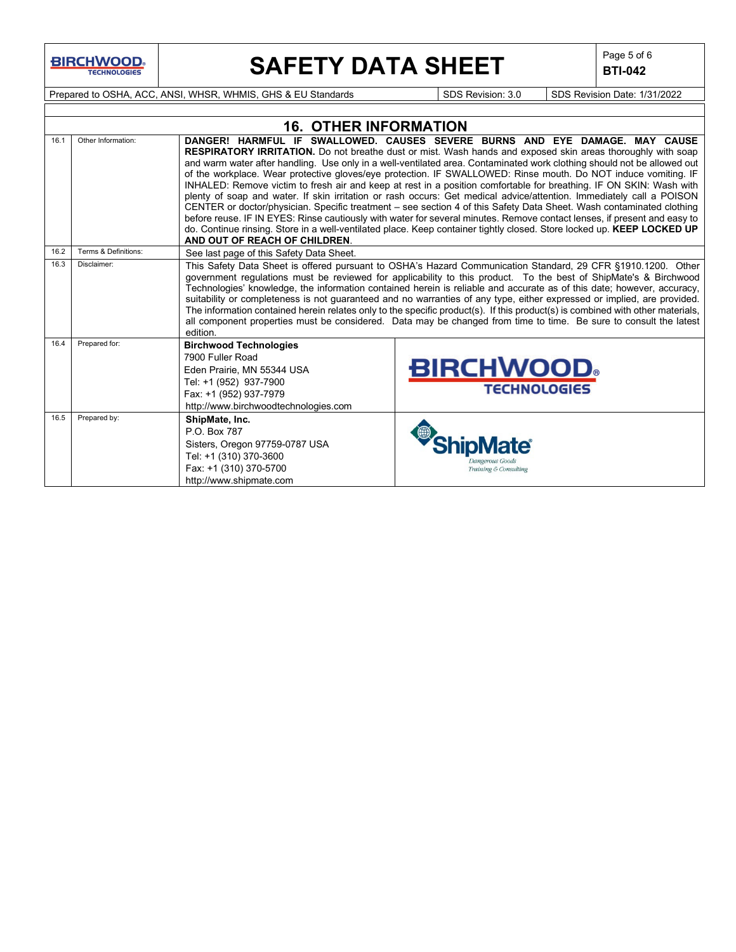

# **SAFETY DATA SHEET**  $\left|\begin{array}{c} \text{Page 5 of 6} \\ \text{BIT-042} \end{array}\right|$

**BTI-042**

Prepared to OSHA, ACC, ANSI, WHSR, WHMIS, GHS & EU Standards Superinted SDS Revision: 3.0 SDS Revision Date: 1/31/2022

|      | <b>16. OTHER INFORMATION</b> |                                                                                                                                                                             |                                                                                                                                                                                                                                                                                                                                                                                                                                                                                                                                                                                                                                                                                                                                                                                                                                                                                                                                                                                                                                                                             |  |  |  |  |
|------|------------------------------|-----------------------------------------------------------------------------------------------------------------------------------------------------------------------------|-----------------------------------------------------------------------------------------------------------------------------------------------------------------------------------------------------------------------------------------------------------------------------------------------------------------------------------------------------------------------------------------------------------------------------------------------------------------------------------------------------------------------------------------------------------------------------------------------------------------------------------------------------------------------------------------------------------------------------------------------------------------------------------------------------------------------------------------------------------------------------------------------------------------------------------------------------------------------------------------------------------------------------------------------------------------------------|--|--|--|--|
| 16.1 | Other Information:           | AND OUT OF REACH OF CHILDREN.                                                                                                                                               | DANGER! HARMFUL IF SWALLOWED. CAUSES SEVERE BURNS AND EYE DAMAGE. MAY CAUSE<br><b>RESPIRATORY IRRITATION.</b> Do not breathe dust or mist. Wash hands and exposed skin areas thoroughly with soap<br>and warm water after handling. Use only in a well-ventilated area. Contaminated work clothing should not be allowed out<br>of the workplace. Wear protective gloves/eye protection. IF SWALLOWED: Rinse mouth. Do NOT induce vomiting. IF<br>INHALED: Remove victim to fresh air and keep at rest in a position comfortable for breathing. IF ON SKIN: Wash with<br>plenty of soap and water. If skin irritation or rash occurs: Get medical advice/attention. Immediately call a POISON<br>CENTER or doctor/physician. Specific treatment - see section 4 of this Safety Data Sheet. Wash contaminated clothing<br>before reuse. IF IN EYES: Rinse cautiously with water for several minutes. Remove contact lenses, if present and easy to<br>do. Continue rinsing. Store in a well-ventilated place. Keep container tightly closed. Store locked up. KEEP LOCKED UP |  |  |  |  |
| 16.2 | Terms & Definitions:         | See last page of this Safety Data Sheet.                                                                                                                                    |                                                                                                                                                                                                                                                                                                                                                                                                                                                                                                                                                                                                                                                                                                                                                                                                                                                                                                                                                                                                                                                                             |  |  |  |  |
| 16.3 | Disclaimer:                  | edition.                                                                                                                                                                    | This Safety Data Sheet is offered pursuant to OSHA's Hazard Communication Standard, 29 CFR §1910.1200. Other<br>government regulations must be reviewed for applicability to this product. To the best of ShipMate's & Birchwood<br>Technologies' knowledge, the information contained herein is reliable and accurate as of this date; however, accuracy,<br>suitability or completeness is not guaranteed and no warranties of any type, either expressed or implied, are provided.<br>The information contained herein relates only to the specific product(s). If this product(s) is combined with other materials,<br>all component properties must be considered. Data may be changed from time to time. Be sure to consult the latest                                                                                                                                                                                                                                                                                                                                |  |  |  |  |
| 16.4 | Prepared for:                | <b>Birchwood Technologies</b><br>7900 Fuller Road<br>Eden Prairie, MN 55344 USA<br>Tel: +1 (952) 937-7900<br>Fax: +1 (952) 937-7979<br>http://www.birchwoodtechnologies.com | <b>BIRCHWOOD</b><br><b>TECHNOLOGIES</b>                                                                                                                                                                                                                                                                                                                                                                                                                                                                                                                                                                                                                                                                                                                                                                                                                                                                                                                                                                                                                                     |  |  |  |  |
| 16.5 | Prepared by:                 | ShipMate, Inc.<br>P.O. Box 787<br>Sisters, Oregon 97759-0787 USA<br>Tel: +1 (310) 370-3600<br>Fax: +1 (310) 370-5700<br>http://www.shipmate.com                             | Jangerous Goods<br>Training & Consulting                                                                                                                                                                                                                                                                                                                                                                                                                                                                                                                                                                                                                                                                                                                                                                                                                                                                                                                                                                                                                                    |  |  |  |  |